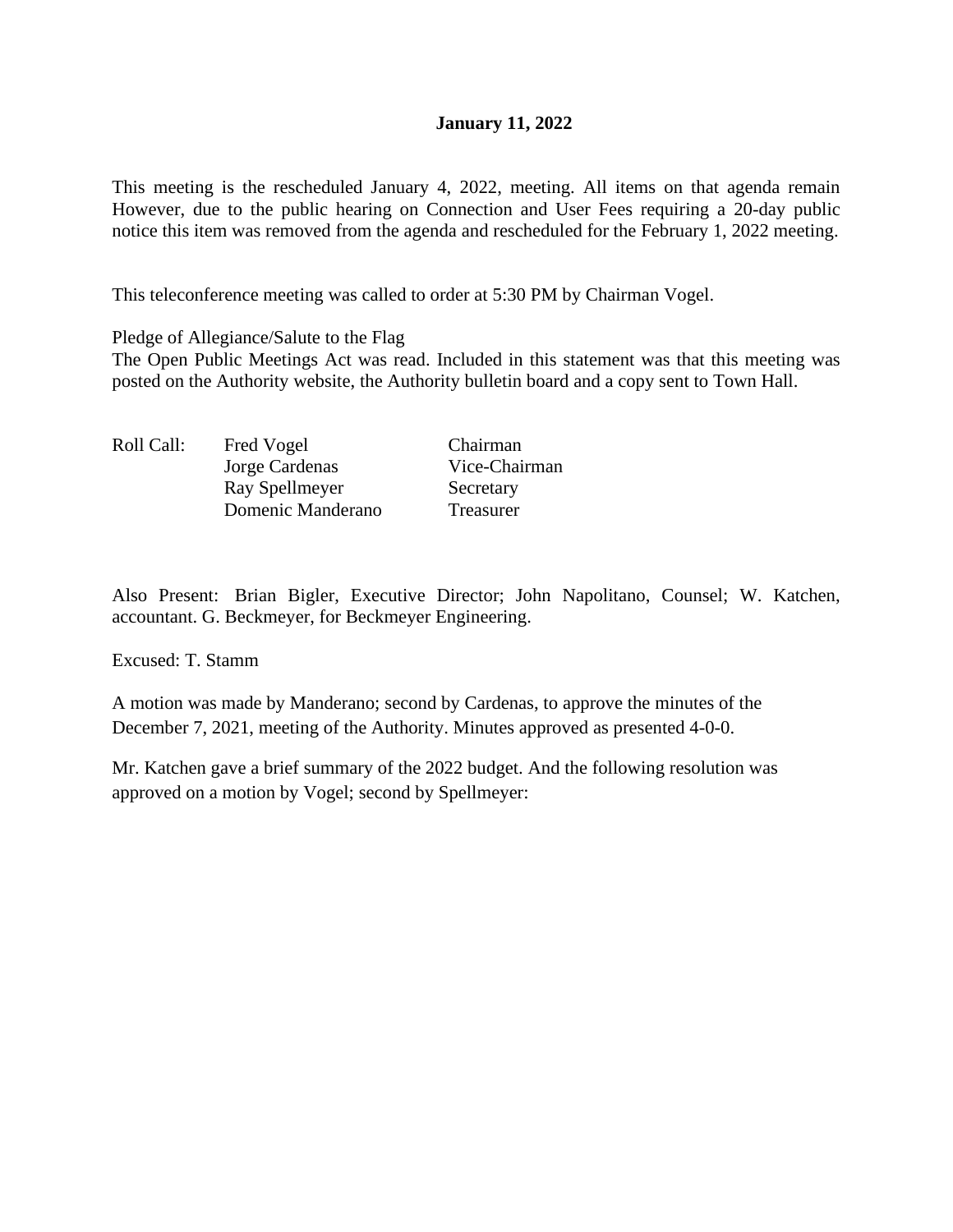## **January 11, 2022**

This meeting is the rescheduled January 4, 2022, meeting. All items on that agenda remain However, due to the public hearing on Connection and User Fees requiring a 20-day public notice this item was removed from the agenda and rescheduled for the February 1, 2022 meeting.

This teleconference meeting was called to order at 5:30 PM by Chairman Vogel.

Pledge of Allegiance/Salute to the Flag

The Open Public Meetings Act was read. Included in this statement was that this meeting was posted on the Authority website, the Authority bulletin board and a copy sent to Town Hall.

| Roll Call: | Fred Vogel        | Chairman      |
|------------|-------------------|---------------|
|            | Jorge Cardenas    | Vice-Chairman |
|            | Ray Spellmeyer    | Secretary     |
|            | Domenic Manderano | Treasurer     |

Also Present: Brian Bigler, Executive Director; John Napolitano, Counsel; W. Katchen, accountant. G. Beckmeyer, for Beckmeyer Engineering.

Excused: T. Stamm

A motion was made by Manderano; second by Cardenas, to approve the minutes of the December 7, 2021, meeting of the Authority. Minutes approved as presented 4-0-0.

Mr. Katchen gave a brief summary of the 2022 budget. And the following resolution was approved on a motion by Vogel; second by Spellmeyer: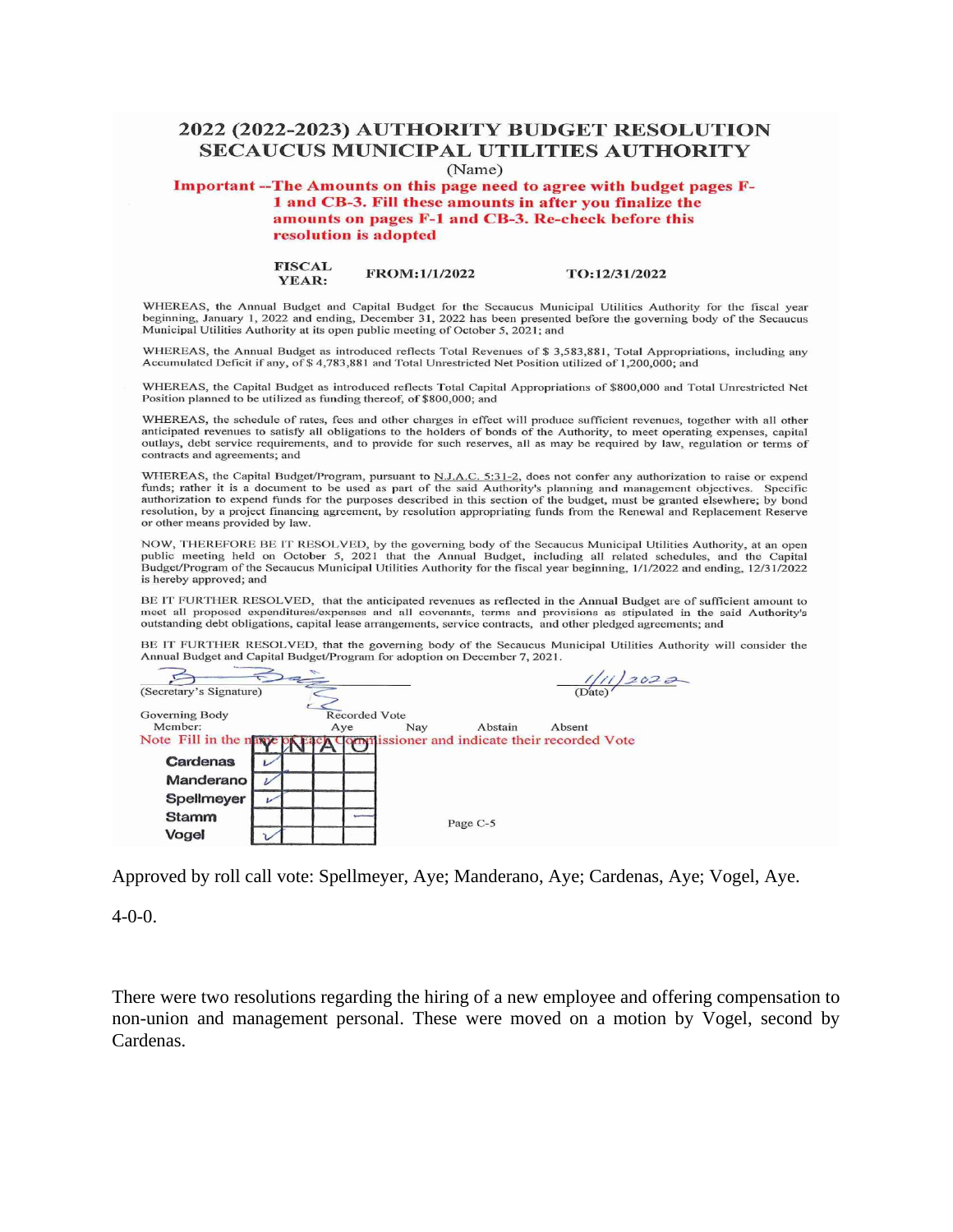# **2022 (2022-2023) AUTHORITY BUDGET RESOLUTION SECAUCUS MUNICIPAL UTILITIES AUTHORITY**

(Name)

**Important --The Amounts on this page need to agree with budget pages Fl and CB-3. Fill these amounts in after you finalize the amounts on pages F-1 and CB-3. Re-check before this resolution is adopted** 

> **FISCAL YEAR: FROM: 111/2022 TO:12/31/2022**

WHEREAS, the Annual Budget and Capital Budget for the Secaucus Municipal Utilities Authority for the fiscal year beginning, January 1, 2022 and ending, December 31, 2022 has been presented before the governing body of the Secaucus Municipal Utilities Authority at its open public meeting of October 5, 2021; and

WHEREAS, the Annual Budget as introduced reflects Total Revenues of\$ 3,583,881, Total Appropriations, including any Accumulated Deficit if any, of \$4,783,881 and Total Unrestricted Net Position utilized of 1,200,000; and

WHEREAS, the Capital Budget as introduced reflects Total Capital Appropriations of \$800,000 and Total Unrestricted Net Position planned to be utilized as funding thereof, of \$800,000; and

WHEREAS, the schedule of rates, fees and other charges in effect will produce sufficient revenues, together with all other anticipated revenues to satisfy all obligations to the holders of bonds of the Authority, to meet o outlays, debt service requirements, and to provide for such reserves, all as may be required by law, regulation or terms of contracts and agreements; and

WHEREAS, the Capital Budget/Program, pursuant to N.J.A.C. 5:31-2, does not confer any authorization to raise or expending funds; rather it is a document to be used as part of the said Authority's planning and management ob authorization to expend funds for the purposes described in this section of the budget, must be granted elsewhere; by bond resolution, by a project financing agreement, by resolution appropriating funds from the Renewal and Replacement Reserve or other means provided by law.

NOW, THEREFORE BE IT RESOLVED, by the governing body of the Secaucus Municipal Utilities Authority, at an open public meeting held on October 5, 2021 that the Annual Budget, including all related schedules, and the Capita<br>Budget/Program of the Secaucus Municipal Utilities Authority for the fiscal year beginning, 1/1/2022 and ending is hereby approved; and

BE IT FURTHER RESOLVED, that the anticipated revenues as reflected in the Annual Budget are of sufficient amount to meet all proposed expenditures/expenses and all covenants, terms and provisions as stipulated in the said Authority's outstanding debt obligations, capital lease arrangements, service contracts, and other pledged agreements; and

BE IT FURTHER RESOLVED, that the governing body of the Secaucus Municipal Utilities Authority will consider the Annual Budget and Capital Budget/Program for adoption on December 7, 2021.

|                           | $\Rightarrow$               |     |          | 2022                                                   |
|---------------------------|-----------------------------|-----|----------|--------------------------------------------------------|
| (Secretary's Signature)   |                             |     |          | (Date)                                                 |
| Governing Body<br>Member: | <b>Recorded Vote</b><br>Aye | Nay | Abstain  | Absent                                                 |
| Note Fill in the name of  |                             |     |          | <b>A Commissioner and indicate their recorded Vote</b> |
| Cardenas                  |                             |     |          |                                                        |
| Manderano                 |                             |     |          |                                                        |
| Spellmeyer                |                             |     |          |                                                        |
| <b>Stamm</b>              |                             |     | Page C-5 |                                                        |
| Vogel                     |                             |     |          |                                                        |
|                           |                             |     |          |                                                        |

Approved by roll call vote: Spellmeyer, Aye; Manderano, Aye; Cardenas, Aye; Vogel, Aye.

4-0-0.

There were two resolutions regarding the hiring of a new employee and offering compensation to non-union and management personal. These were moved on a motion by Vogel, second by Cardenas.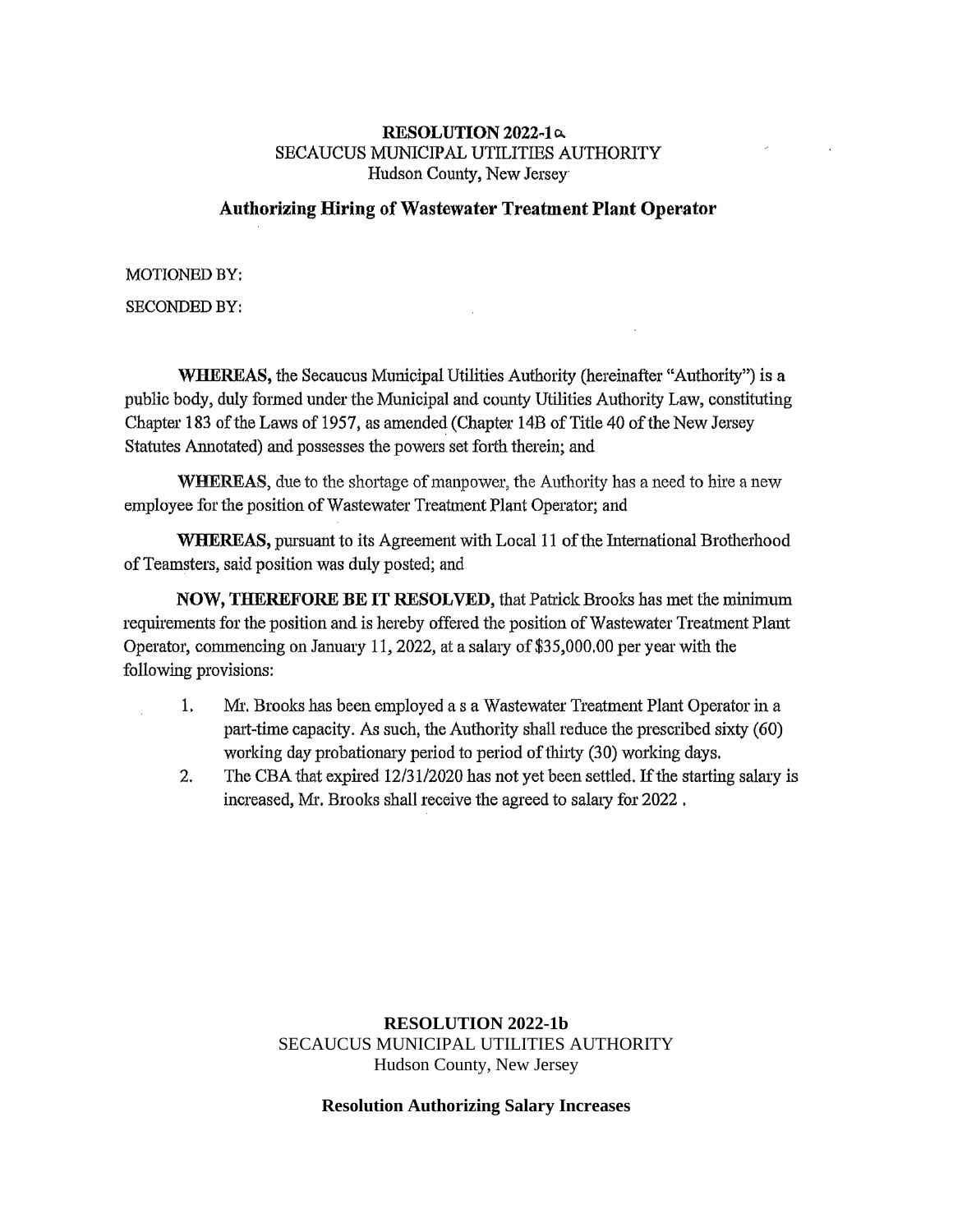#### **RESOLUTION 2022-1**  $\alpha$ SECAUCUS MUNICIPAL UTILITIES AUTHORITY Hudson County, New Jersey

## **Authorizing Hiring of Wastewater Treatment Plant Operator**

MOTIONED BY:

SECONDED BY:

**WHEREAS,** the Secaucus Municipal Utilities Authority (hereinafter "Authority") is a public body, duly formed under the Municipal and county Utilities Authority Law, constituting Chapter 183 of the Laws of 1957, as amended (Chapter 14B of Title 40 of the New Jersey Statutes Annotated) and possesses the powers set forth therein; and

**WHEREAS,** due to the shortage of manpower, the Authority has a need to hire a new employee for the position of Wastewater Treatment Plant Operator; and

**WHEREAS,** pursuant to its Agreement with Local 11 of the Intemational Brotherhood of Teamsters, said position was duly posted; and

**NOW, THEREFORE BE IT RESOLVED,** that Patrick Brooks has met the minimum requirements for the position and is hereby offered the position of Wastewater Treatment Plant Operator, commencing on January 11, 2022, at a salary of \$35,000.00 per year with the following provisions:

- 1. Mr. Brooks has been employed as a Wastewater Treatment Plant Operator in a part-time capacity. As such, the Authority shall reduce the prescribed sixty (60) working day probationary period to period of thirty (30) working days.
- 2. The CBA that expired 12/31/2020 has not yet been settled. If the starting salary is increased, Mr. Brooks shall receive the agreed to salary for 2022,

### **RESOLUTION 2022-1b** SECAUCUS MUNICIPAL UTILITIES AUTHORITY Hudson County, New Jersey

#### **Resolution Authorizing Salary Increases**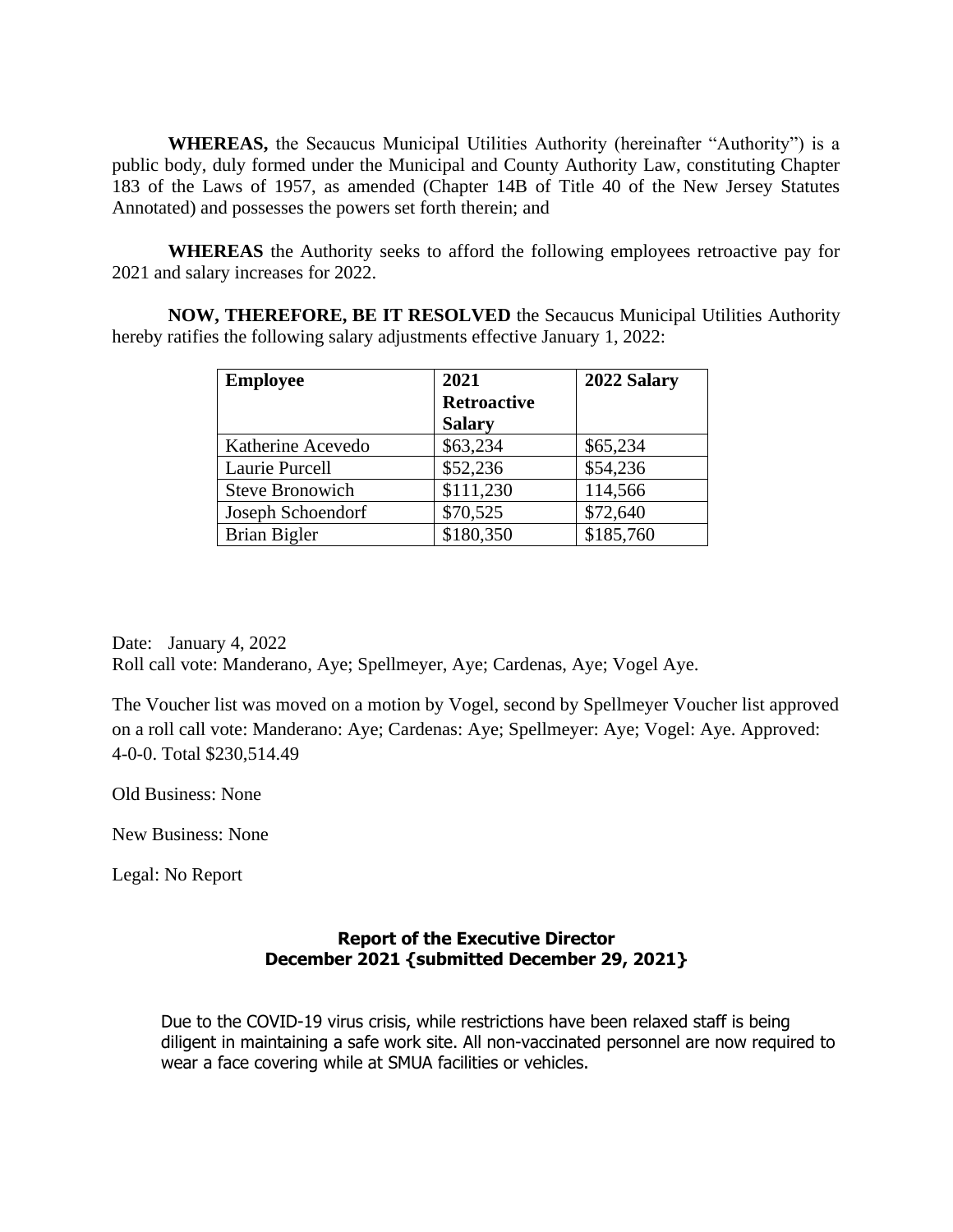**WHEREAS,** the Secaucus Municipal Utilities Authority (hereinafter "Authority") is a public body, duly formed under the Municipal and County Authority Law, constituting Chapter 183 of the Laws of 1957, as amended (Chapter 14B of Title 40 of the New Jersey Statutes Annotated) and possesses the powers set forth therein; and

**WHEREAS** the Authority seeks to afford the following employees retroactive pay for 2021 and salary increases for 2022.

**NOW, THEREFORE, BE IT RESOLVED** the Secaucus Municipal Utilities Authority hereby ratifies the following salary adjustments effective January 1, 2022:

| <b>Employee</b>        | 2021               | 2022 Salary |  |
|------------------------|--------------------|-------------|--|
|                        | <b>Retroactive</b> |             |  |
|                        | <b>Salary</b>      |             |  |
| Katherine Acevedo      | \$63,234           | \$65,234    |  |
| Laurie Purcell         | \$52,236           | \$54,236    |  |
| <b>Steve Bronowich</b> | \$111,230          | 114,566     |  |
| Joseph Schoendorf      | \$70,525           | \$72,640    |  |
| Brian Bigler           | \$180,350          | \$185,760   |  |

Date: January 4, 2022 Roll call vote: Manderano, Aye; Spellmeyer, Aye; Cardenas, Aye; Vogel Aye.

The Voucher list was moved on a motion by Vogel, second by Spellmeyer Voucher list approved on a roll call vote: Manderano: Aye; Cardenas: Aye; Spellmeyer: Aye; Vogel: Aye. Approved: 4-0-0. Total \$230,514.49

Old Business: None

New Business: None

Legal: No Report

# **Report of the Executive Director December 2021 {submitted December 29, 2021}**

Due to the COVID-19 virus crisis, while restrictions have been relaxed staff is being diligent in maintaining a safe work site. All non-vaccinated personnel are now required to wear a face covering while at SMUA facilities or vehicles.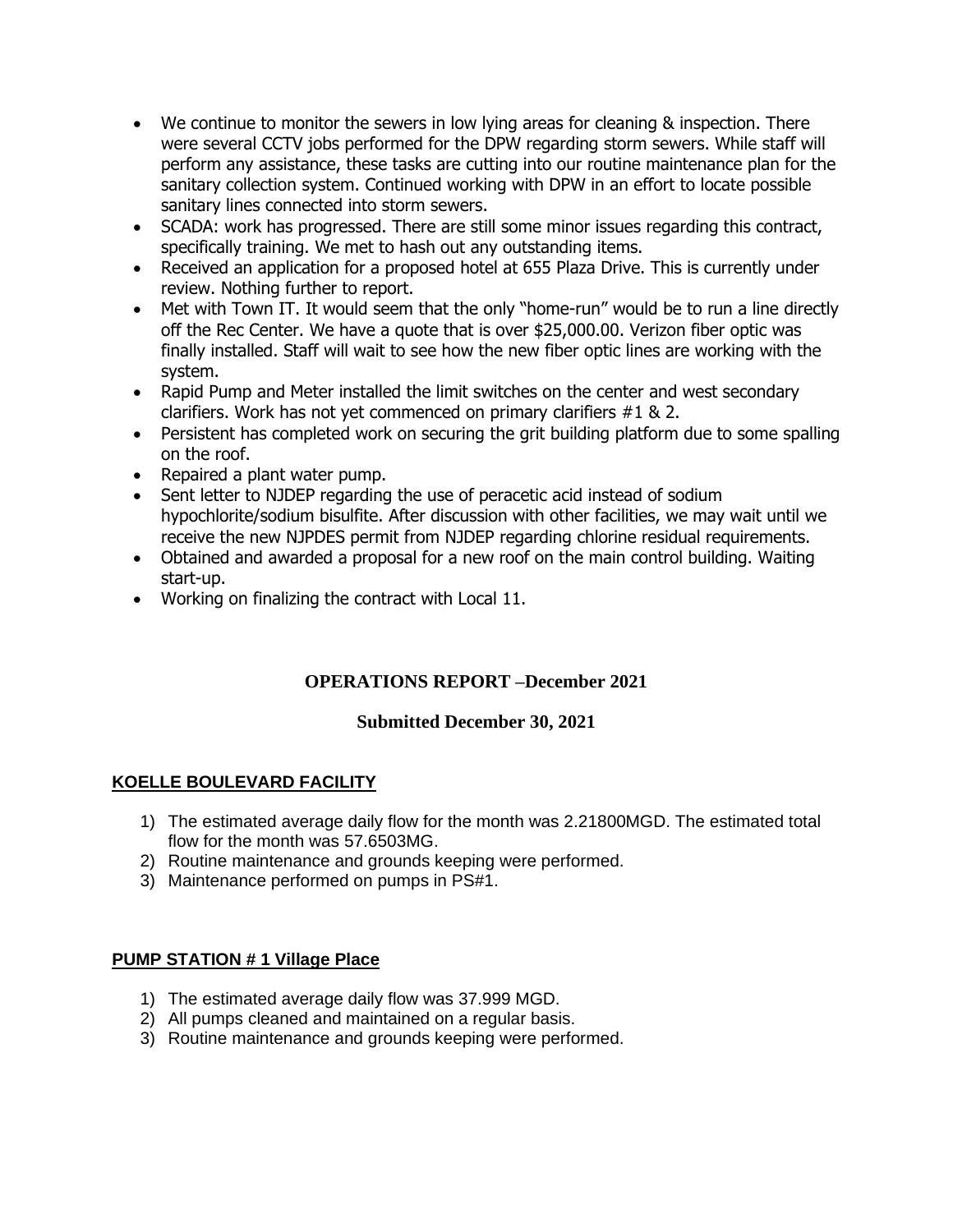- We continue to monitor the sewers in low lying areas for cleaning & inspection. There were several CCTV jobs performed for the DPW regarding storm sewers. While staff will perform any assistance, these tasks are cutting into our routine maintenance plan for the sanitary collection system. Continued working with DPW in an effort to locate possible sanitary lines connected into storm sewers.
- SCADA: work has progressed. There are still some minor issues regarding this contract, specifically training. We met to hash out any outstanding items.
- Received an application for a proposed hotel at 655 Plaza Drive. This is currently under review. Nothing further to report.
- Met with Town IT. It would seem that the only "home-run" would be to run a line directly off the Rec Center. We have a quote that is over \$25,000.00. Verizon fiber optic was finally installed. Staff will wait to see how the new fiber optic lines are working with the system.
- Rapid Pump and Meter installed the limit switches on the center and west secondary clarifiers. Work has not yet commenced on primary clarifiers #1 & 2.
- Persistent has completed work on securing the grit building platform due to some spalling on the roof.
- Repaired a plant water pump.
- Sent letter to NJDEP regarding the use of peracetic acid instead of sodium hypochlorite/sodium bisulfite. After discussion with other facilities, we may wait until we receive the new NJPDES permit from NJDEP regarding chlorine residual requirements.
- Obtained and awarded a proposal for a new roof on the main control building. Waiting start-up.
- Working on finalizing the contract with Local 11.

# **OPERATIONS REPORT –December 2021**

# **Submitted December 30, 2021**

# **KOELLE BOULEVARD FACILITY**

- 1) The estimated average daily flow for the month was 2.21800MGD. The estimated total flow for the month was 57.6503MG.
- 2) Routine maintenance and grounds keeping were performed.
- 3) Maintenance performed on pumps in PS#1.

## **PUMP STATION # 1 Village Place**

- 1) The estimated average daily flow was 37.999 MGD.
- 2) All pumps cleaned and maintained on a regular basis.
- 3) Routine maintenance and grounds keeping were performed.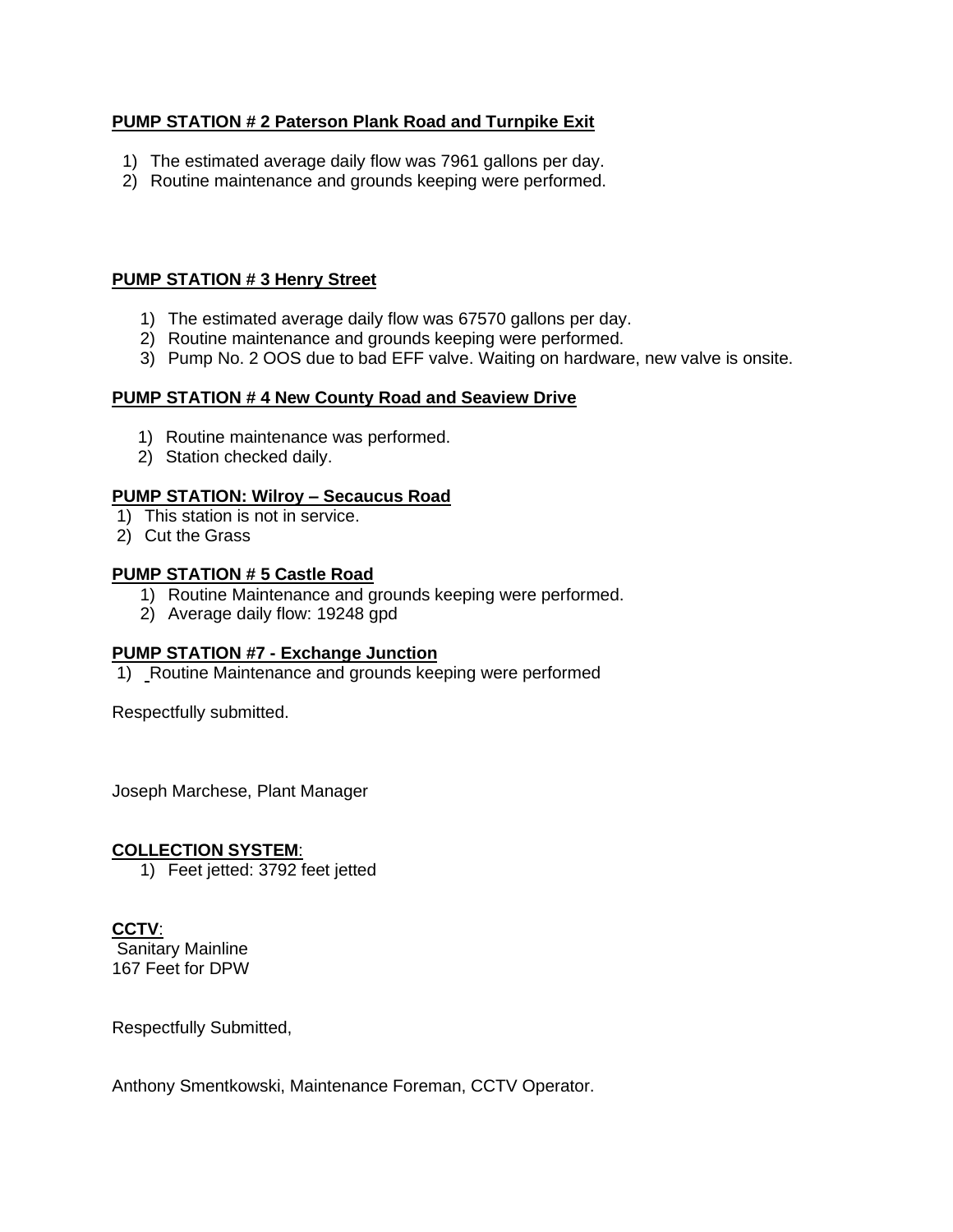# **PUMP STATION # 2 Paterson Plank Road and Turnpike Exit**

- 1) The estimated average daily flow was 7961 gallons per day.
- 2) Routine maintenance and grounds keeping were performed.

#### **PUMP STATION # 3 Henry Street**

- 1) The estimated average daily flow was 67570 gallons per day.
- 2) Routine maintenance and grounds keeping were performed.
- 3) Pump No. 2 OOS due to bad EFF valve. Waiting on hardware, new valve is onsite.

#### **PUMP STATION # 4 New County Road and Seaview Drive**

- 1) Routine maintenance was performed.
- 2) Station checked daily.

#### **PUMP STATION: Wilroy – Secaucus Road**

- 1) This station is not in service.
- 2) Cut the Grass

#### **PUMP STATION # 5 Castle Road**

- 1) Routine Maintenance and grounds keeping were performed.
- 2) Average daily flow: 19248 gpd

## **PUMP STATION #7 - Exchange Junction**

1) Routine Maintenance and grounds keeping were performed

Respectfully submitted.

Joseph Marchese, Plant Manager

#### **COLLECTION SYSTEM**:

1) Feet jetted: 3792 feet jetted

# **CCTV**:

Sanitary Mainline 167 Feet for DPW

Respectfully Submitted,

Anthony Smentkowski, Maintenance Foreman, CCTV Operator.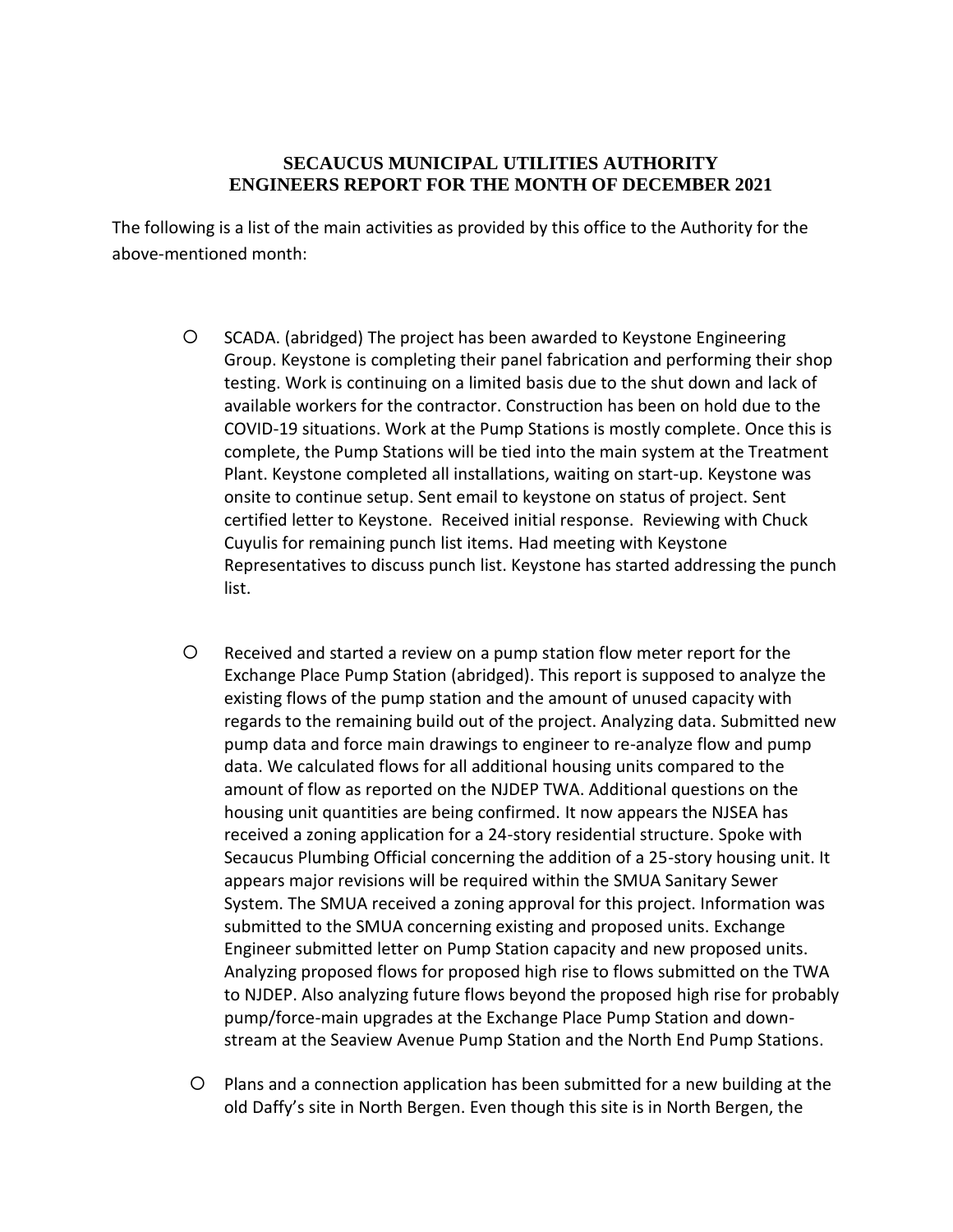# **SECAUCUS MUNICIPAL UTILITIES AUTHORITY ENGINEERS REPORT FOR THE MONTH OF DECEMBER 2021**

The following is a list of the main activities as provided by this office to the Authority for the above-mentioned month:

- SCADA. (abridged) The project has been awarded to Keystone Engineering Group. Keystone is completing their panel fabrication and performing their shop testing. Work is continuing on a limited basis due to the shut down and lack of available workers for the contractor. Construction has been on hold due to the COVID-19 situations. Work at the Pump Stations is mostly complete. Once this is complete, the Pump Stations will be tied into the main system at the Treatment Plant. Keystone completed all installations, waiting on start-up. Keystone was onsite to continue setup. Sent email to keystone on status of project. Sent certified letter to Keystone. Received initial response. Reviewing with Chuck Cuyulis for remaining punch list items. Had meeting with Keystone Representatives to discuss punch list. Keystone has started addressing the punch list.
- Received and started a review on a pump station flow meter report for the Exchange Place Pump Station (abridged). This report is supposed to analyze the existing flows of the pump station and the amount of unused capacity with regards to the remaining build out of the project. Analyzing data. Submitted new pump data and force main drawings to engineer to re-analyze flow and pump data. We calculated flows for all additional housing units compared to the amount of flow as reported on the NJDEP TWA. Additional questions on the housing unit quantities are being confirmed. It now appears the NJSEA has received a zoning application for a 24-story residential structure. Spoke with Secaucus Plumbing Official concerning the addition of a 25-story housing unit. It appears major revisions will be required within the SMUA Sanitary Sewer System. The SMUA received a zoning approval for this project. Information was submitted to the SMUA concerning existing and proposed units. Exchange Engineer submitted letter on Pump Station capacity and new proposed units. Analyzing proposed flows for proposed high rise to flows submitted on the TWA to NJDEP. Also analyzing future flows beyond the proposed high rise for probably pump/force-main upgrades at the Exchange Place Pump Station and downstream at the Seaview Avenue Pump Station and the North End Pump Stations.
- Plans and a connection application has been submitted for a new building at the old Daffy's site in North Bergen. Even though this site is in North Bergen, the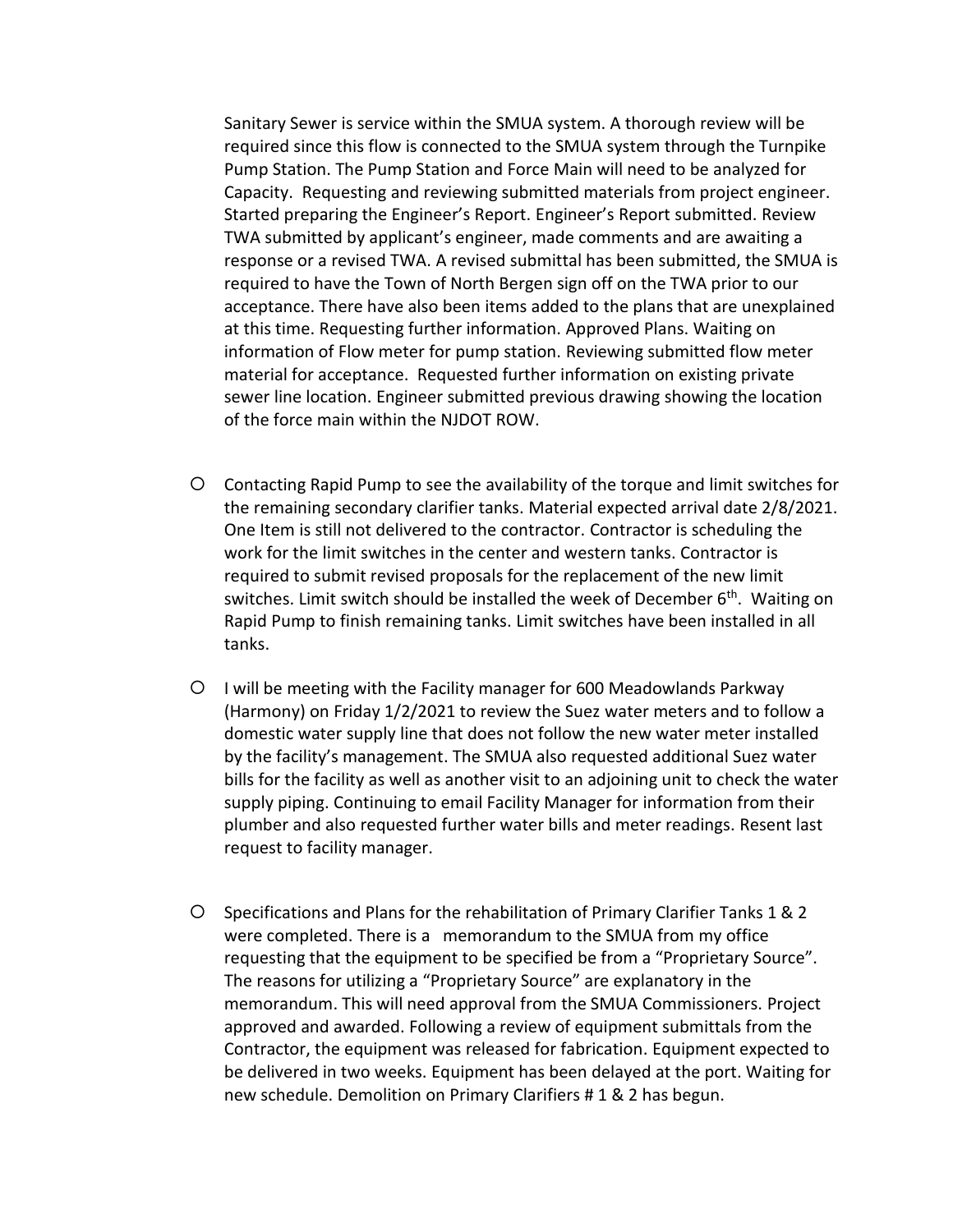Sanitary Sewer is service within the SMUA system. A thorough review will be required since this flow is connected to the SMUA system through the Turnpike Pump Station. The Pump Station and Force Main will need to be analyzed for Capacity. Requesting and reviewing submitted materials from project engineer. Started preparing the Engineer's Report. Engineer's Report submitted. Review TWA submitted by applicant's engineer, made comments and are awaiting a response or a revised TWA. A revised submittal has been submitted, the SMUA is required to have the Town of North Bergen sign off on the TWA prior to our acceptance. There have also been items added to the plans that are unexplained at this time. Requesting further information. Approved Plans. Waiting on information of Flow meter for pump station. Reviewing submitted flow meter material for acceptance. Requested further information on existing private sewer line location. Engineer submitted previous drawing showing the location of the force main within the NJDOT ROW.

- Contacting Rapid Pump to see the availability of the torque and limit switches for the remaining secondary clarifier tanks. Material expected arrival date 2/8/2021. One Item is still not delivered to the contractor. Contractor is scheduling the work for the limit switches in the center and western tanks. Contractor is required to submit revised proposals for the replacement of the new limit switches. Limit switch should be installed the week of December 6<sup>th</sup>. Waiting on Rapid Pump to finish remaining tanks. Limit switches have been installed in all tanks.
- I will be meeting with the Facility manager for 600 Meadowlands Parkway (Harmony) on Friday 1/2/2021 to review the Suez water meters and to follow a domestic water supply line that does not follow the new water meter installed by the facility's management. The SMUA also requested additional Suez water bills for the facility as well as another visit to an adjoining unit to check the water supply piping. Continuing to email Facility Manager for information from their plumber and also requested further water bills and meter readings. Resent last request to facility manager.
- Specifications and Plans for the rehabilitation of Primary Clarifier Tanks 1 & 2 were completed. There is a memorandum to the SMUA from my office requesting that the equipment to be specified be from a "Proprietary Source". The reasons for utilizing a "Proprietary Source" are explanatory in the memorandum. This will need approval from the SMUA Commissioners. Project approved and awarded. Following a review of equipment submittals from the Contractor, the equipment was released for fabrication. Equipment expected to be delivered in two weeks. Equipment has been delayed at the port. Waiting for new schedule. Demolition on Primary Clarifiers # 1 & 2 has begun.